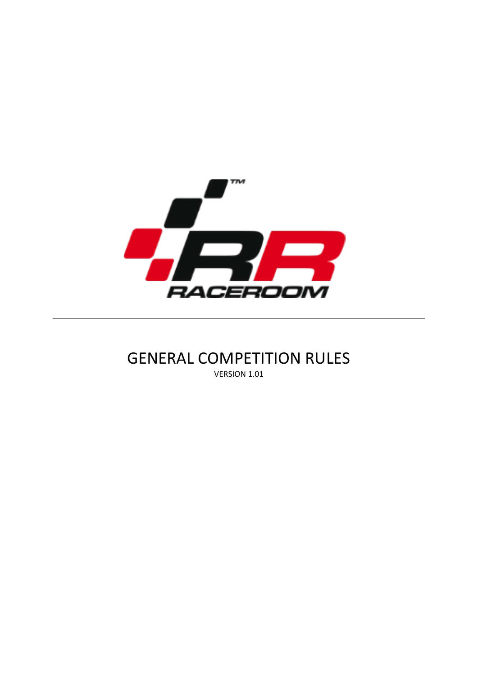

# GENERAL COMPETITION RULES VERSION 1.01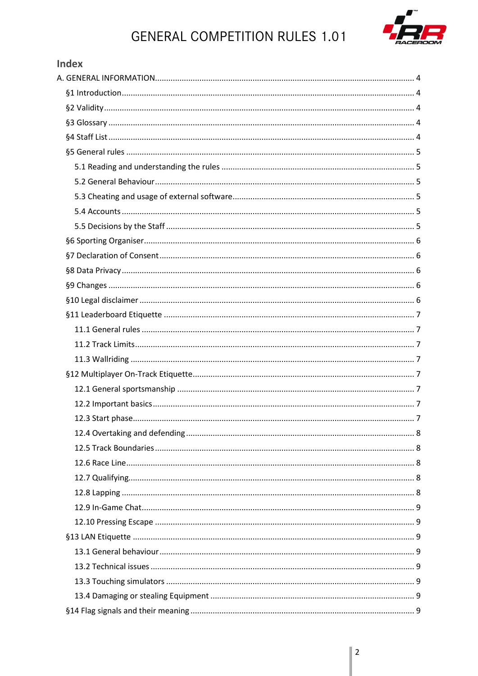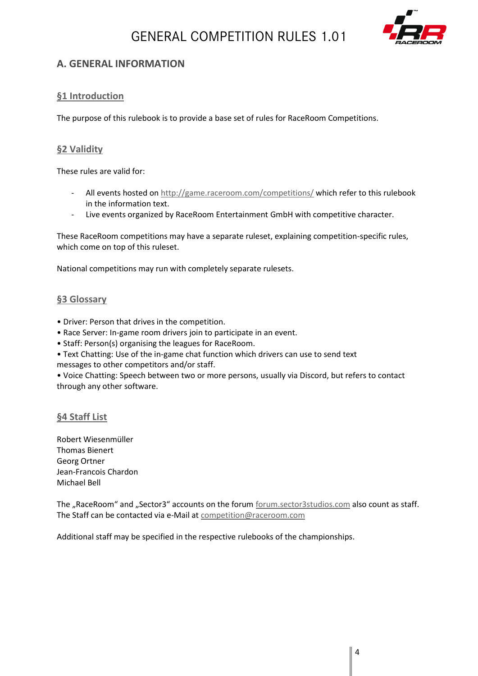

# <span id="page-3-0"></span>**A. GENERAL INFORMATION**

# <span id="page-3-1"></span>**§1 Introduction**

The purpose of this rulebook is to provide a base set of rules for RaceRoom Competitions.

# <span id="page-3-2"></span>**§2 Validity**

These rules are valid for:

- All events hosted on<http://game.raceroom.com/competitions/> which refer to this rulebook in the information text.
- Live events organized by RaceRoom Entertainment GmbH with competitive character.

These RaceRoom competitions may have a separate ruleset, explaining competition-specific rules, which come on top of this ruleset.

National competitions may run with completely separate rulesets.

### <span id="page-3-3"></span>**§3 Glossary**

- Driver: Person that drives in the competition.
- Race Server: In-game room drivers join to participate in an event.
- Staff: Person(s) organising the leagues for RaceRoom.
- Text Chatting: Use of the in-game chat function which drivers can use to send text
- messages to other competitors and/or staff.

• Voice Chatting: Speech between two or more persons, usually via Discord, but refers to contact through any other software.

# <span id="page-3-4"></span>**§4 Staff List**

Robert Wiesenmüller Thomas Bienert Georg Ortner Jean-Francois Chardon Michael Bell

The "RaceRoom" and "Sector3" accounts on the forum [forum.sector3studios.com](file:///E:/Super%20Racer/forum.sector3studios.com) also count as staff. The Staff can be contacted via e-Mail at [competition@raceroom.com](file:///C:/Users/Robert/Desktop/Raceroom%20WTCC/Regularien/competitions@raceroom.com)

Additional staff may be specified in the respective rulebooks of the championships.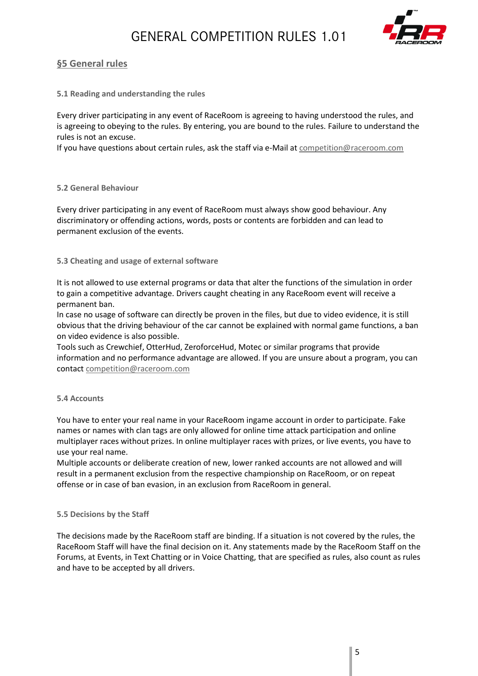

# <span id="page-4-0"></span>**§5 General rules**

#### <span id="page-4-1"></span>**5.1 Reading and understanding the rules**

Every driver participating in any event of RaceRoom is agreeing to having understood the rules, and is agreeing to obeying to the rules. By entering, you are bound to the rules. Failure to understand the rules is not an excuse.

If you have questions about certain rules, ask the staff via e-Mail a[t competition@raceroom.com](mailto:competition@raceroom.com)

#### <span id="page-4-2"></span>**5.2 General Behaviour**

Every driver participating in any event of RaceRoom must always show good behaviour. Any discriminatory or offending actions, words, posts or contents are forbidden and can lead to permanent exclusion of the events.

#### <span id="page-4-3"></span>**5.3 Cheating and usage of external software**

It is not allowed to use external programs or data that alter the functions of the simulation in order to gain a competitive advantage. Drivers caught cheating in any RaceRoom event will receive a permanent ban.

In case no usage of software can directly be proven in the files, but due to video evidence, it is still obvious that the driving behaviour of the car cannot be explained with normal game functions, a ban on video evidence is also possible.

Tools such as Crewchief, OtterHud, ZeroforceHud, Motec or similar programs that provide information and no performance advantage are allowed. If you are unsure about a program, you can contact [competition@raceroom.com](mailto:competition@raceroom.com)

#### <span id="page-4-4"></span>**5.4 Accounts**

You have to enter your real name in your RaceRoom ingame account in order to participate. Fake names or names with clan tags are only allowed for online time attack participation and online multiplayer races without prizes. In online multiplayer races with prizes, or live events, you have to use your real name.

Multiple accounts or deliberate creation of new, lower ranked accounts are not allowed and will result in a permanent exclusion from the respective championship on RaceRoom, or on repeat offense or in case of ban evasion, in an exclusion from RaceRoom in general.

#### <span id="page-4-5"></span>**5.5 Decisions by the Staff**

The decisions made by the RaceRoom staff are binding. If a situation is not covered by the rules, the RaceRoom Staff will have the final decision on it. Any statements made by the RaceRoom Staff on the Forums, at Events, in Text Chatting or in Voice Chatting, that are specified as rules, also count as rules and have to be accepted by all drivers.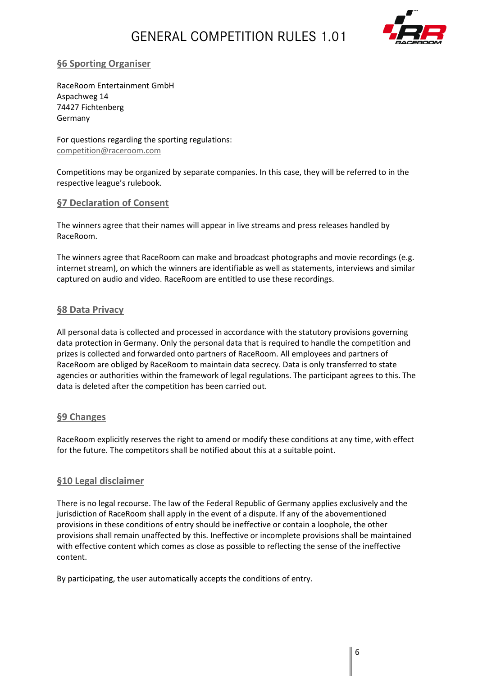

# <span id="page-5-0"></span>**§6 Sporting Organiser**

RaceRoom Entertainment GmbH Aspachweg 14 74427 Fichtenberg Germany

For questions regarding the sporting regulations: [competition@raceroom.com](mailto:competition@raceroom.com)

Competitions may be organized by separate companies. In this case, they will be referred to in the respective league's rulebook.

### <span id="page-5-1"></span>**§7 Declaration of Consent**

The winners agree that their names will appear in live streams and press releases handled by RaceRoom.

The winners agree that RaceRoom can make and broadcast photographs and movie recordings (e.g. internet stream), on which the winners are identifiable as well as statements, interviews and similar captured on audio and video. RaceRoom are entitled to use these recordings.

### <span id="page-5-2"></span>**§8 Data Privacy**

All personal data is collected and processed in accordance with the statutory provisions governing data protection in Germany. Only the personal data that is required to handle the competition and prizes is collected and forwarded onto partners of RaceRoom. All employees and partners of RaceRoom are obliged by RaceRoom to maintain data secrecy. Data is only transferred to state agencies or authorities within the framework of legal regulations. The participant agrees to this. The data is deleted after the competition has been carried out.

# <span id="page-5-3"></span>**§9 Changes**

RaceRoom explicitly reserves the right to amend or modify these conditions at any time, with effect for the future. The competitors shall be notified about this at a suitable point.

# <span id="page-5-4"></span>**§10 Legal disclaimer**

There is no legal recourse. The law of the Federal Republic of Germany applies exclusively and the jurisdiction of RaceRoom shall apply in the event of a dispute. If any of the abovementioned provisions in these conditions of entry should be ineffective or contain a loophole, the other provisions shall remain unaffected by this. Ineffective or incomplete provisions shall be maintained with effective content which comes as close as possible to reflecting the sense of the ineffective content.

By participating, the user automatically accepts the conditions of entry.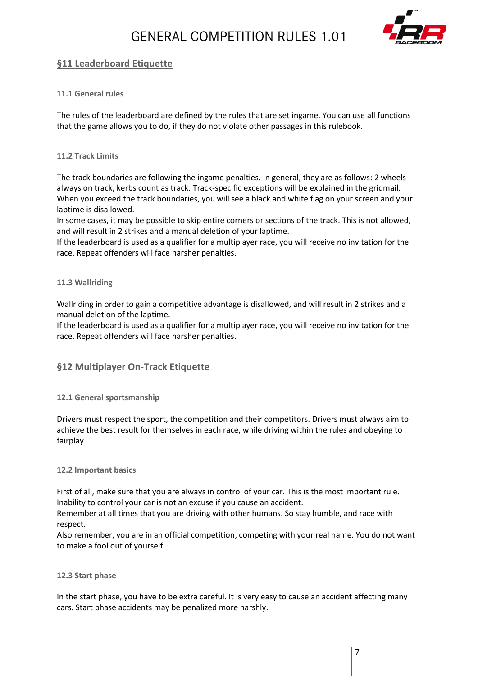

# <span id="page-6-0"></span>**§11 Leaderboard Etiquette**

### <span id="page-6-1"></span>**11.1 General rules**

The rules of the leaderboard are defined by the rules that are set ingame. You can use all functions that the game allows you to do, if they do not violate other passages in this rulebook.

#### <span id="page-6-2"></span>**11.2 Track Limits**

The track boundaries are following the ingame penalties. In general, they are as follows: 2 wheels always on track, kerbs count as track. Track-specific exceptions will be explained in the gridmail. When you exceed the track boundaries, you will see a black and white flag on your screen and your laptime is disallowed.

In some cases, it may be possible to skip entire corners or sections of the track. This is not allowed, and will result in 2 strikes and a manual deletion of your laptime.

If the leaderboard is used as a qualifier for a multiplayer race, you will receive no invitation for the race. Repeat offenders will face harsher penalties.

#### <span id="page-6-3"></span>**11.3 Wallriding**

Wallriding in order to gain a competitive advantage is disallowed, and will result in 2 strikes and a manual deletion of the laptime.

If the leaderboard is used as a qualifier for a multiplayer race, you will receive no invitation for the race. Repeat offenders will face harsher penalties.

### <span id="page-6-4"></span>**§12 Multiplayer On-Track Etiquette**

#### <span id="page-6-5"></span>**12.1 General sportsmanship**

Drivers must respect the sport, the competition and their competitors. Drivers must always aim to achieve the best result for themselves in each race, while driving within the rules and obeying to fairplay.

#### <span id="page-6-6"></span>**12.2 Important basics**

First of all, make sure that you are always in control of your car. This is the most important rule. Inability to control your car is not an excuse if you cause an accident.

Remember at all times that you are driving with other humans. So stay humble, and race with respect.

Also remember, you are in an official competition, competing with your real name. You do not want to make a fool out of yourself.

#### <span id="page-6-7"></span>**12.3 Start phase**

In the start phase, you have to be extra careful. It is very easy to cause an accident affecting many cars. Start phase accidents may be penalized more harshly.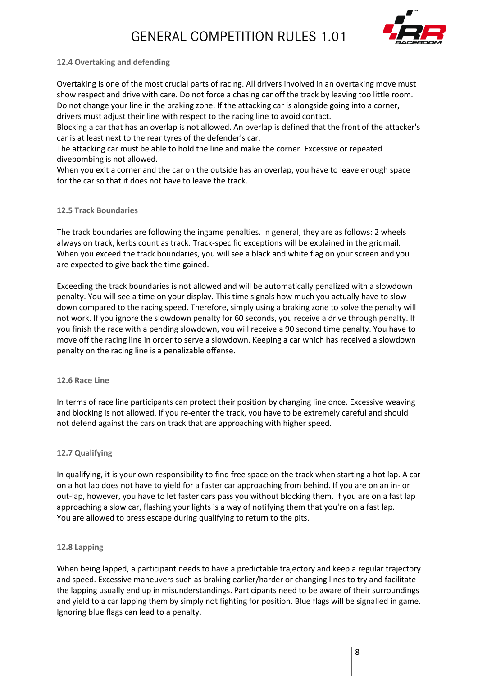

#### <span id="page-7-0"></span>**12.4 Overtaking and defending**

Overtaking is one of the most crucial parts of racing. All drivers involved in an overtaking move must show respect and drive with care. Do not force a chasing car off the track by leaving too little room. Do not change your line in the braking zone. If the attacking car is alongside going into a corner, drivers must adjust their line with respect to the racing line to avoid contact.

Blocking a car that has an overlap is not allowed. An overlap is defined that the front of the attacker's car is at least next to the rear tyres of the defender's car.

The attacking car must be able to hold the line and make the corner. Excessive or repeated divebombing is not allowed.

When you exit a corner and the car on the outside has an overlap, you have to leave enough space for the car so that it does not have to leave the track.

#### <span id="page-7-1"></span>**12.5 Track Boundaries**

The track boundaries are following the ingame penalties. In general, they are as follows: 2 wheels always on track, kerbs count as track. Track-specific exceptions will be explained in the gridmail. When you exceed the track boundaries, you will see a black and white flag on your screen and you are expected to give back the time gained.

Exceeding the track boundaries is not allowed and will be automatically penalized with a slowdown penalty. You will see a time on your display. This time signals how much you actually have to slow down compared to the racing speed. Therefore, simply using a braking zone to solve the penalty will not work. If you ignore the slowdown penalty for 60 seconds, you receive a drive through penalty. If you finish the race with a pending slowdown, you will receive a 90 second time penalty. You have to move off the racing line in order to serve a slowdown. Keeping a car which has received a slowdown penalty on the racing line is a penalizable offense.

#### <span id="page-7-2"></span>**12.6 Race Line**

In terms of race line participants can protect their position by changing line once. Excessive weaving and blocking is not allowed. If you re-enter the track, you have to be extremely careful and should not defend against the cars on track that are approaching with higher speed.

#### <span id="page-7-3"></span>**12.7 Qualifying**

In qualifying, it is your own responsibility to find free space on the track when starting a hot lap. A car on a hot lap does not have to yield for a faster car approaching from behind. If you are on an in- or out-lap, however, you have to let faster cars pass you without blocking them. If you are on a fast lap approaching a slow car, flashing your lights is a way of notifying them that you're on a fast lap. You are allowed to press escape during qualifying to return to the pits.

#### <span id="page-7-4"></span>**12.8 Lapping**

When being lapped, a participant needs to have a predictable trajectory and keep a regular trajectory and speed. Excessive maneuvers such as braking earlier/harder or changing lines to try and facilitate the lapping usually end up in misunderstandings. Participants need to be aware of their surroundings and yield to a car lapping them by simply not fighting for position. Blue flags will be signalled in game. Ignoring blue flags can lead to a penalty.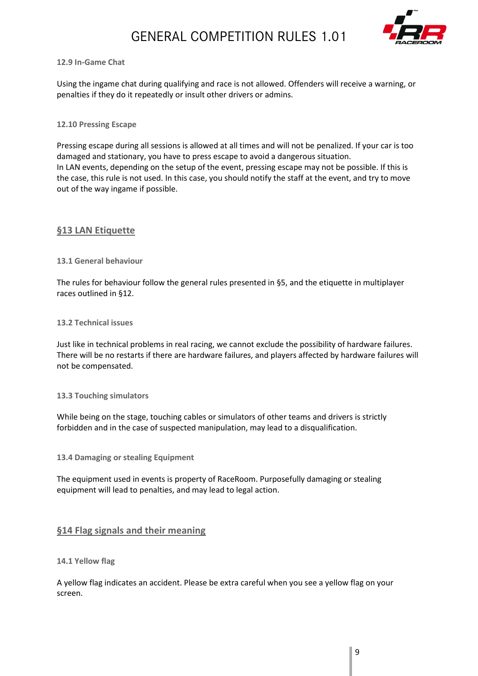

#### <span id="page-8-0"></span>**12.9 In-Game Chat**

Using the ingame chat during qualifying and race is not allowed. Offenders will receive a warning, or penalties if they do it repeatedly or insult other drivers or admins.

#### <span id="page-8-1"></span>**12.10 Pressing Escape**

Pressing escape during all sessions is allowed at all times and will not be penalized. If your car is too damaged and stationary, you have to press escape to avoid a dangerous situation. In LAN events, depending on the setup of the event, pressing escape may not be possible. If this is the case, this rule is not used. In this case, you should notify the staff at the event, and try to move out of the way ingame if possible.

### <span id="page-8-2"></span>**§13 LAN Etiquette**

<span id="page-8-3"></span>**13.1 General behaviour**

The rules for behaviour follow the general rules presented in §5, and the etiquette in multiplayer races outlined in §12.

#### <span id="page-8-4"></span>**13.2 Technical issues**

Just like in technical problems in real racing, we cannot exclude the possibility of hardware failures. There will be no restarts if there are hardware failures, and players affected by hardware failures will not be compensated.

#### <span id="page-8-5"></span>**13.3 Touching simulators**

While being on the stage, touching cables or simulators of other teams and drivers is strictly forbidden and in the case of suspected manipulation, may lead to a disqualification.

<span id="page-8-6"></span>**13.4 Damaging or stealing Equipment**

The equipment used in events is property of RaceRoom. Purposefully damaging or stealing equipment will lead to penalties, and may lead to legal action.

### <span id="page-8-7"></span>**§14 Flag signals and their meaning**

#### <span id="page-8-8"></span>**14.1 Yellow flag**

A yellow flag indicates an accident. Please be extra careful when you see a yellow flag on your screen.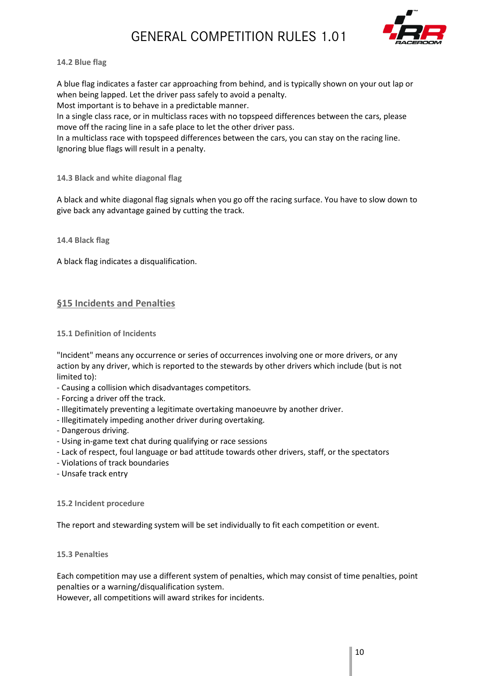

#### <span id="page-9-0"></span>**14.2 Blue flag**

A blue flag indicates a faster car approaching from behind, and is typically shown on your out lap or when being lapped. Let the driver pass safely to avoid a penalty. Most important is to behave in a predictable manner.

In a single class race, or in multiclass races with no topspeed differences between the cars, please move off the racing line in a safe place to let the other driver pass.

In a multiclass race with topspeed differences between the cars, you can stay on the racing line. Ignoring blue flags will result in a penalty.

#### <span id="page-9-1"></span>**14.3 Black and white diagonal flag**

A black and white diagonal flag signals when you go off the racing surface. You have to slow down to give back any advantage gained by cutting the track.

<span id="page-9-2"></span>**14.4 Black flag**

A black flag indicates a disqualification.

### <span id="page-9-3"></span>**§15 Incidents and Penalties**

#### <span id="page-9-4"></span>**15.1 Definition of Incidents**

"Incident" means any occurrence or series of occurrences involving one or more drivers, or any action by any driver, which is reported to the stewards by other drivers which include (but is not limited to):

- Causing a collision which disadvantages competitors.
- Forcing a driver off the track.
- Illegitimately preventing a legitimate overtaking manoeuvre by another driver.
- Illegitimately impeding another driver during overtaking.
- Dangerous driving.
- Using in-game text chat during qualifying or race sessions
- Lack of respect, foul language or bad attitude towards other drivers, staff, or the spectators
- Violations of track boundaries
- Unsafe track entry

#### <span id="page-9-5"></span>**15.2 Incident procedure**

The report and stewarding system will be set individually to fit each competition or event.

#### <span id="page-9-6"></span>**15.3 Penalties**

Each competition may use a different system of penalties, which may consist of time penalties, point penalties or a warning/disqualification system.

However, all competitions will award strikes for incidents.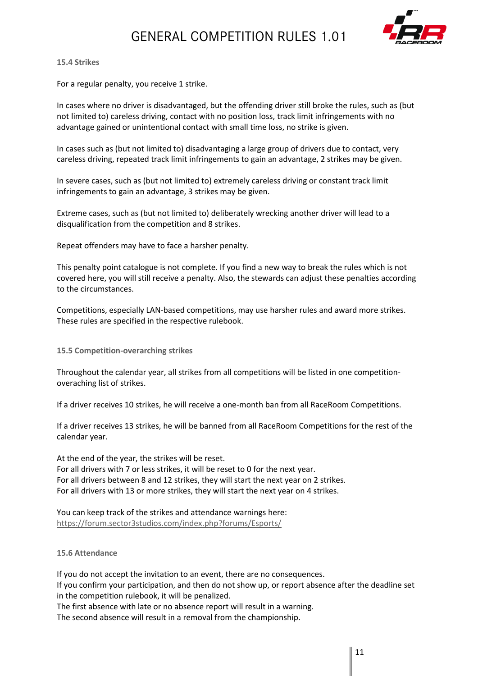

#### <span id="page-10-0"></span>**15.4 Strikes**

For a regular penalty, you receive 1 strike.

In cases where no driver is disadvantaged, but the offending driver still broke the rules, such as (but not limited to) careless driving, contact with no position loss, track limit infringements with no advantage gained or unintentional contact with small time loss, no strike is given.

In cases such as (but not limited to) disadvantaging a large group of drivers due to contact, very careless driving, repeated track limit infringements to gain an advantage, 2 strikes may be given.

In severe cases, such as (but not limited to) extremely careless driving or constant track limit infringements to gain an advantage, 3 strikes may be given.

Extreme cases, such as (but not limited to) deliberately wrecking another driver will lead to a disqualification from the competition and 8 strikes.

Repeat offenders may have to face a harsher penalty.

This penalty point catalogue is not complete. If you find a new way to break the rules which is not covered here, you will still receive a penalty. Also, the stewards can adjust these penalties according to the circumstances.

Competitions, especially LAN-based competitions, may use harsher rules and award more strikes. These rules are specified in the respective rulebook.

<span id="page-10-1"></span>**15.5 Competition-overarching strikes**

Throughout the calendar year, all strikes from all competitions will be listed in one competitionoveraching list of strikes.

If a driver receives 10 strikes, he will receive a one-month ban from all RaceRoom Competitions.

If a driver receives 13 strikes, he will be banned from all RaceRoom Competitions for the rest of the calendar year.

At the end of the year, the strikes will be reset. For all drivers with 7 or less strikes, it will be reset to 0 for the next year. For all drivers between 8 and 12 strikes, they will start the next year on 2 strikes. For all drivers with 13 or more strikes, they will start the next year on 4 strikes.

You can keep track of the strikes and attendance warnings here: <https://forum.sector3studios.com/index.php?forums/Esports/>

#### <span id="page-10-2"></span>**15.6 Attendance**

If you do not accept the invitation to an event, there are no consequences. If you confirm your participation, and then do not show up, or report absence after the deadline set in the competition rulebook, it will be penalized.

The first absence with late or no absence report will result in a warning.

The second absence will result in a removal from the championship.